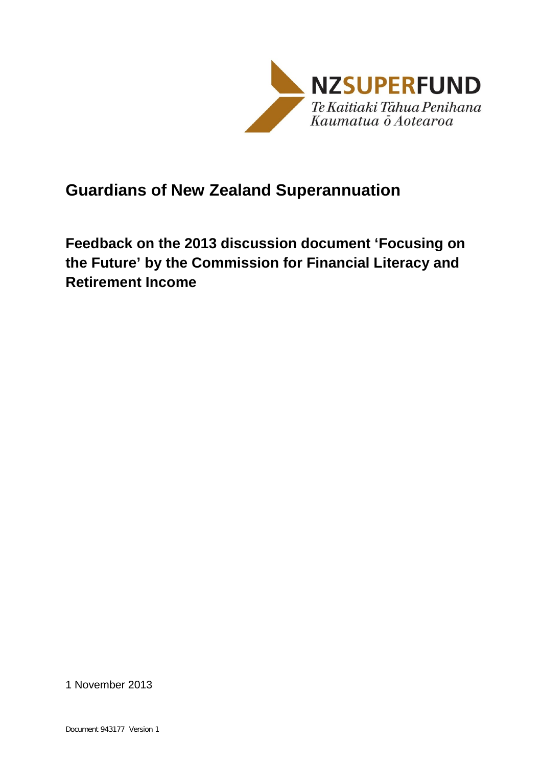

## **Guardians of New Zealand Superannuation**

**Feedback on the 2013 discussion document 'Focusing on the Future' by the Commission for Financial Literacy and Retirement Income**

1 November 2013